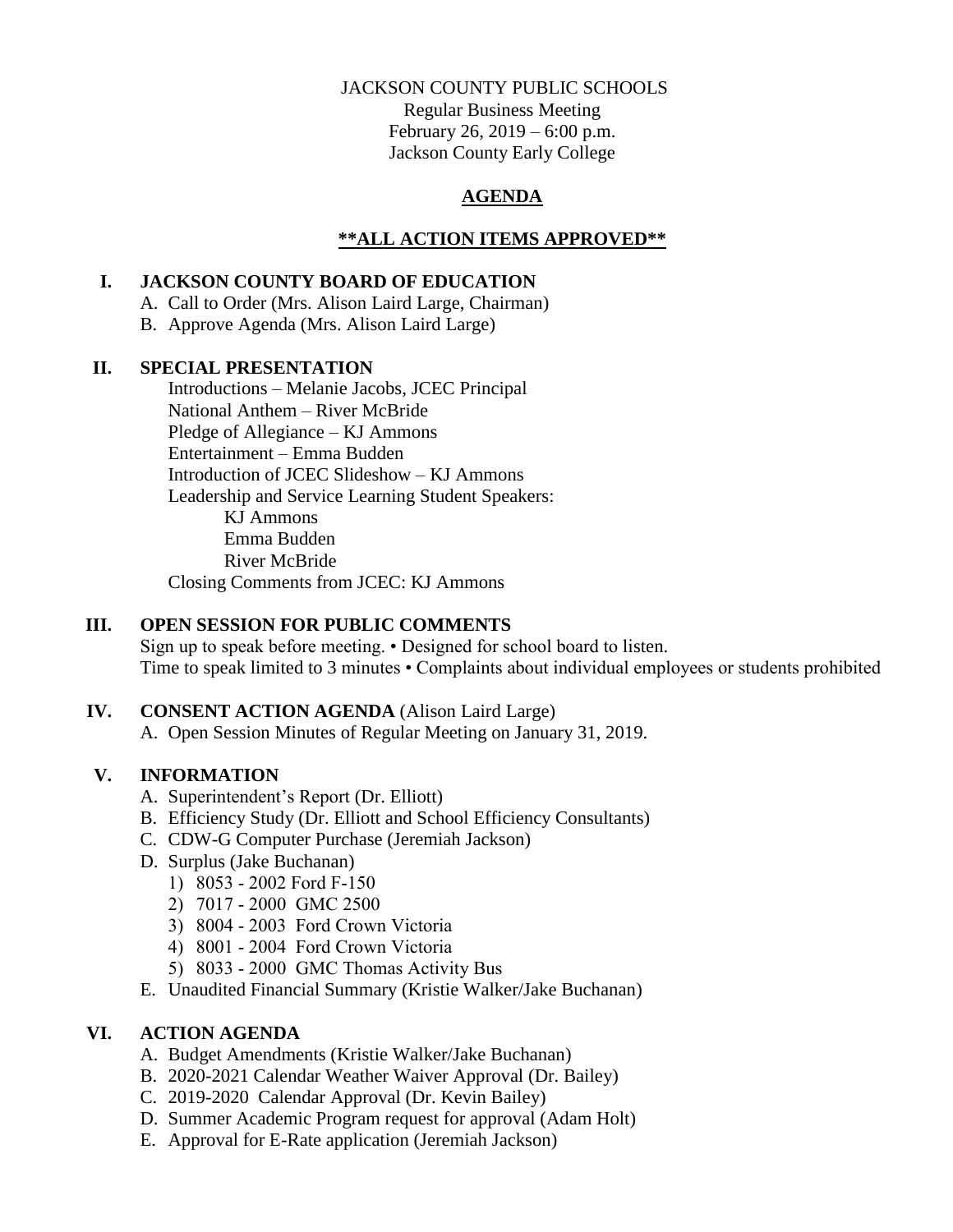### JACKSON COUNTY PUBLIC SCHOOLS

Regular Business Meeting February 26, 2019 – 6:00 p.m. Jackson County Early College

# **AGENDA**

# **\*\*ALL ACTION ITEMS APPROVED\*\***

## **I. JACKSON COUNTY BOARD OF EDUCATION**

- A. Call to Order (Mrs. Alison Laird Large, Chairman)
- B. Approve Agenda (Mrs. Alison Laird Large)

### **II. SPECIAL PRESENTATION**

Introductions – Melanie Jacobs, JCEC Principal National Anthem – River McBride Pledge of Allegiance – KJ Ammons Entertainment – Emma Budden Introduction of JCEC Slideshow – KJ Ammons Leadership and Service Learning Student Speakers: KJ Ammons Emma Budden River McBride Closing Comments from JCEC: KJ Ammons

# **III. OPEN SESSION FOR PUBLIC COMMENTS**

Sign up to speak before meeting. • Designed for school board to listen. Time to speak limited to 3 minutes • Complaints about individual employees or students prohibited

# **IV. CONSENT ACTION AGENDA** (Alison Laird Large)

A. Open Session Minutes of Regular Meeting on January 31, 2019.

# **V. INFORMATION**

- A. Superintendent's Report (Dr. Elliott)
- B. Efficiency Study (Dr. Elliott and School Efficiency Consultants)
- C. CDW-G Computer Purchase (Jeremiah Jackson)
- D. Surplus (Jake Buchanan)
	- 1) 8053 2002 Ford F-150
	- 2) 7017 2000 GMC 2500
	- 3) 8004 2003 Ford Crown Victoria
	- 4) 8001 2004 Ford Crown Victoria
	- 5) 8033 2000 GMC Thomas Activity Bus
- E. Unaudited Financial Summary (Kristie Walker/Jake Buchanan)

### **VI. ACTION AGENDA**

- A. Budget Amendments (Kristie Walker/Jake Buchanan)
- B. 2020-2021 Calendar Weather Waiver Approval (Dr. Bailey)
- C. 2019-2020 Calendar Approval (Dr. Kevin Bailey)
- D. Summer Academic Program request for approval (Adam Holt)
- E. Approval for E-Rate application (Jeremiah Jackson)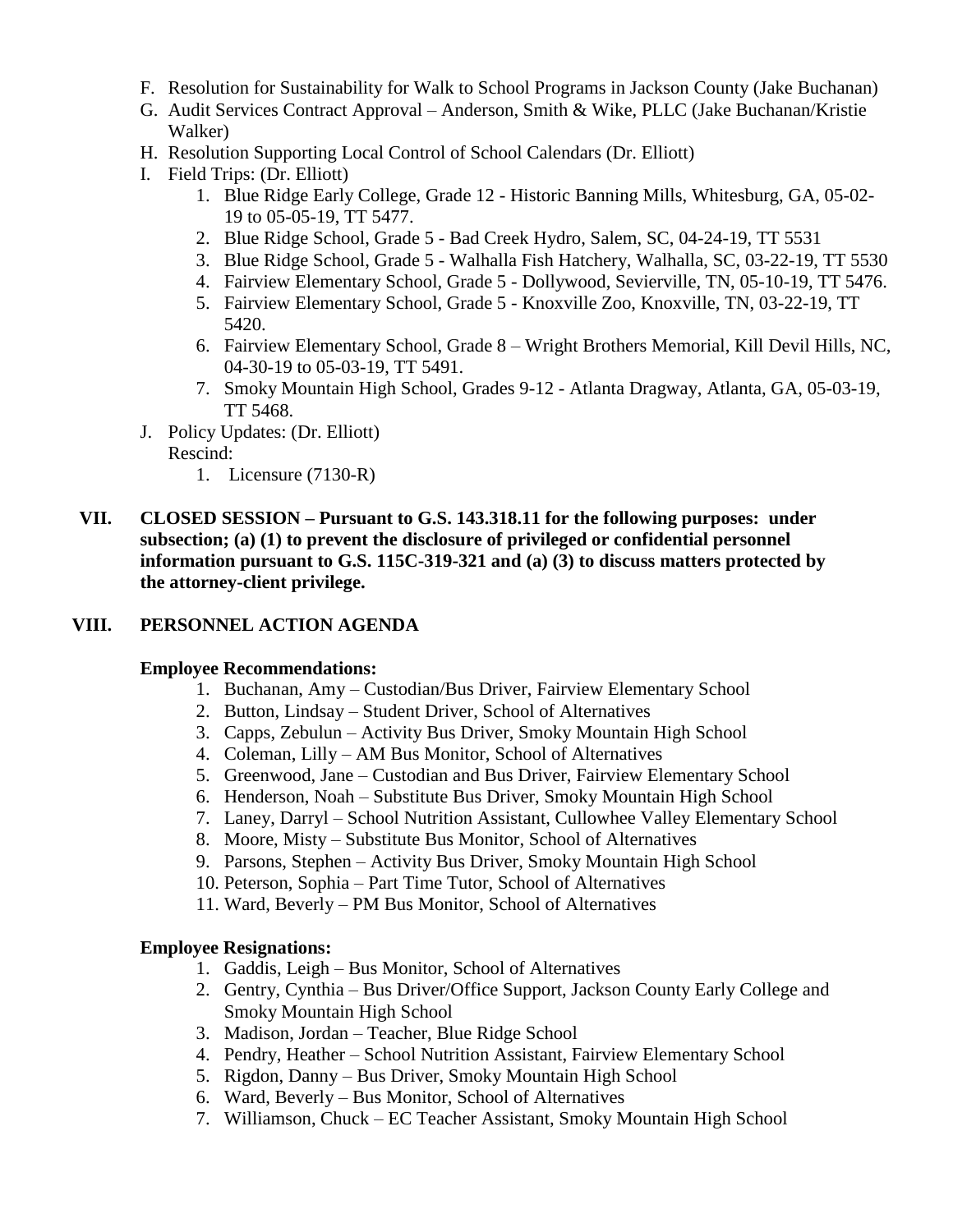- F. Resolution for Sustainability for Walk to School Programs in Jackson County (Jake Buchanan)
- G. Audit Services Contract Approval Anderson, Smith & Wike, PLLC (Jake Buchanan/Kristie Walker)
- H. Resolution Supporting Local Control of School Calendars (Dr. Elliott)
- I. Field Trips: (Dr. Elliott)
	- 1. Blue Ridge Early College, Grade 12 Historic Banning Mills, Whitesburg, GA, 05-02- 19 to 05-05-19, TT 5477.
	- 2. Blue Ridge School, Grade 5 Bad Creek Hydro, Salem, SC, 04-24-19, TT 5531
	- 3. Blue Ridge School, Grade 5 Walhalla Fish Hatchery, Walhalla, SC, 03-22-19, TT 5530
	- 4. Fairview Elementary School, Grade 5 Dollywood, Sevierville, TN, 05-10-19, TT 5476.
	- 5. Fairview Elementary School, Grade 5 Knoxville Zoo, Knoxville, TN, 03-22-19, TT 5420.
	- 6. Fairview Elementary School, Grade 8 Wright Brothers Memorial, Kill Devil Hills, NC, 04-30-19 to 05-03-19, TT 5491.
	- 7. Smoky Mountain High School, Grades 9-12 Atlanta Dragway, Atlanta, GA, 05-03-19, TT 5468.
- J. Policy Updates: (Dr. Elliott)
	- Rescind:
		- 1. Licensure (7130-R)
- **VII. CLOSED SESSION – Pursuant to G.S. 143.318.11 for the following purposes: under subsection; (a) (1) to prevent the disclosure of privileged or confidential personnel information pursuant to G.S. 115C-319-321 and (a) (3) to discuss matters protected by the attorney-client privilege.**

### **VIII. PERSONNEL ACTION AGENDA**

#### **Employee Recommendations:**

- 1. Buchanan, Amy Custodian/Bus Driver, Fairview Elementary School
- 2. Button, Lindsay Student Driver, School of Alternatives
- 3. Capps, Zebulun Activity Bus Driver, Smoky Mountain High School
- 4. Coleman, Lilly AM Bus Monitor, School of Alternatives
- 5. Greenwood, Jane Custodian and Bus Driver, Fairview Elementary School
- 6. Henderson, Noah Substitute Bus Driver, Smoky Mountain High School
- 7. Laney, Darryl School Nutrition Assistant, Cullowhee Valley Elementary School
- 8. Moore, Misty Substitute Bus Monitor, School of Alternatives
- 9. Parsons, Stephen Activity Bus Driver, Smoky Mountain High School
- 10. Peterson, Sophia Part Time Tutor, School of Alternatives
- 11. Ward, Beverly PM Bus Monitor, School of Alternatives

#### **Employee Resignations:**

- 1. Gaddis, Leigh Bus Monitor, School of Alternatives
- 2. Gentry, Cynthia Bus Driver/Office Support, Jackson County Early College and Smoky Mountain High School
- 3. Madison, Jordan Teacher, Blue Ridge School
- 4. Pendry, Heather School Nutrition Assistant, Fairview Elementary School
- 5. Rigdon, Danny Bus Driver, Smoky Mountain High School
- 6. Ward, Beverly Bus Monitor, School of Alternatives
- 7. Williamson, Chuck EC Teacher Assistant, Smoky Mountain High School